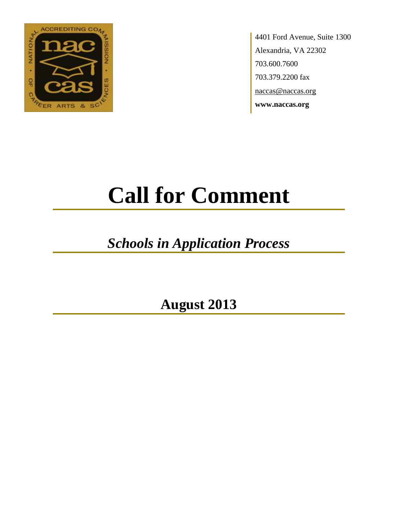

4401 Ford Avenue, Suite 1300 Alexandria, VA 22302 703.600.7600 703.379.2200 fax naccas@naccas.org **www.naccas.org**

# **Call for Comment**

# *Schools in Application Process*

**August 2013**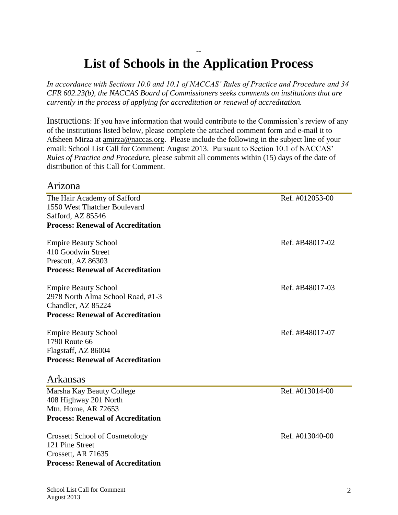# -- **List of Schools in the Application Process**

*In accordance with Sections 10.0 and 10.1 of NACCAS' Rules of Practice and Procedure and 34 CFR 602.23(b), the NACCAS Board of Commissioners seeks comments on institutions that are currently in the process of applying for accreditation or renewal of accreditation.*

Instructions: If you have information that would contribute to the Commission's review of any of the institutions listed below, please complete the attached comment form and e-mail it to Afsheen Mirza at [amirza@naccas.org.](mailto:amirza@naccas.org) Please include the following in the subject line of your email: School List Call for Comment: August 2013. Pursuant to Section 10.1 of NACCAS' *Rules of Practice and Procedure*, please submit all comments within (15) days of the date of distribution of this Call for Comment.

#### Arizona

| The Hair Academy of Safford                                   | Ref. #012053-00 |
|---------------------------------------------------------------|-----------------|
| 1550 West Thatcher Boulevard                                  |                 |
| Safford, AZ 85546<br><b>Process: Renewal of Accreditation</b> |                 |
|                                                               |                 |
| <b>Empire Beauty School</b>                                   | Ref. #B48017-02 |
| 410 Goodwin Street                                            |                 |
| Prescott, AZ 86303                                            |                 |
| <b>Process: Renewal of Accreditation</b>                      |                 |
|                                                               |                 |
| <b>Empire Beauty School</b>                                   | Ref. #B48017-03 |
| 2978 North Alma School Road, #1-3                             |                 |
| Chandler, AZ 85224                                            |                 |
| <b>Process: Renewal of Accreditation</b>                      |                 |
| <b>Empire Beauty School</b>                                   | Ref. #B48017-07 |
| 1790 Route 66                                                 |                 |
| Flagstaff, AZ 86004                                           |                 |
| <b>Process: Renewal of Accreditation</b>                      |                 |
|                                                               |                 |
| Arkansas                                                      |                 |
| Marsha Kay Beauty College                                     | Ref. #013014-00 |
| 408 Highway 201 North                                         |                 |
| Mtn. Home, AR 72653                                           |                 |
| <b>Process: Renewal of Accreditation</b>                      |                 |
|                                                               |                 |
| <b>Crossett School of Cosmetology</b>                         | Ref. #013040-00 |
| 121 Pine Street                                               |                 |
| Crossett, AR 71635                                            |                 |
| <b>Process: Renewal of Accreditation</b>                      |                 |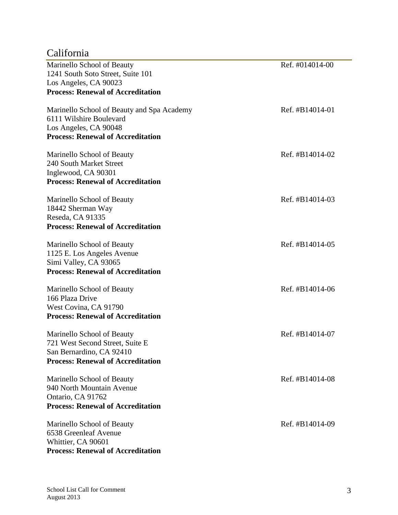# California

| Marinello School of Beauty                 | Ref. #014014-00 |
|--------------------------------------------|-----------------|
| 1241 South Soto Street, Suite 101          |                 |
| Los Angeles, CA 90023                      |                 |
| <b>Process: Renewal of Accreditation</b>   |                 |
| Marinello School of Beauty and Spa Academy | Ref. #B14014-01 |
| 6111 Wilshire Boulevard                    |                 |
| Los Angeles, CA 90048                      |                 |
| <b>Process: Renewal of Accreditation</b>   |                 |
| Marinello School of Beauty                 | Ref. #B14014-02 |
| 240 South Market Street                    |                 |
| Inglewood, CA 90301                        |                 |
| <b>Process: Renewal of Accreditation</b>   |                 |
| Marinello School of Beauty                 | Ref. #B14014-03 |
| 18442 Sherman Way                          |                 |
| Reseda, CA 91335                           |                 |
| <b>Process: Renewal of Accreditation</b>   |                 |
| Marinello School of Beauty                 | Ref. #B14014-05 |
| 1125 E. Los Angeles Avenue                 |                 |
| Simi Valley, CA 93065                      |                 |
| <b>Process: Renewal of Accreditation</b>   |                 |
| Marinello School of Beauty                 | Ref. #B14014-06 |
| 166 Plaza Drive                            |                 |
| West Covina, CA 91790                      |                 |
| <b>Process: Renewal of Accreditation</b>   |                 |
| Marinello School of Beauty                 | Ref. #B14014-07 |
| 721 West Second Street, Suite E            |                 |
| San Bernardino, CA 92410                   |                 |
| <b>Process: Renewal of Accreditation</b>   |                 |
| Marinello School of Beauty                 | Ref. #B14014-08 |
| 940 North Mountain Avenue                  |                 |
| Ontario, CA 91762                          |                 |
| <b>Process: Renewal of Accreditation</b>   |                 |
| Marinello School of Beauty                 | Ref. #B14014-09 |
| 6538 Greenleaf Avenue                      |                 |
| Whittier, CA 90601                         |                 |
| <b>Process: Renewal of Accreditation</b>   |                 |

e.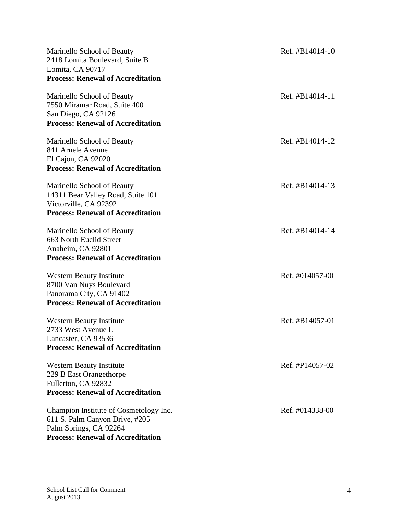| Marinello School of Beauty<br>2418 Lomita Boulevard, Suite B<br>Lomita, CA 90717<br><b>Process: Renewal of Accreditation</b>                   | Ref. #B14014-10    |
|------------------------------------------------------------------------------------------------------------------------------------------------|--------------------|
| Marinello School of Beauty<br>7550 Miramar Road, Suite 400<br>San Diego, CA 92126<br><b>Process: Renewal of Accreditation</b>                  | Ref. $\#B14014-11$ |
| Marinello School of Beauty<br>841 Arnele Avenue<br>El Cajon, CA 92020<br><b>Process: Renewal of Accreditation</b>                              | Ref. #B14014-12    |
| Marinello School of Beauty<br>14311 Bear Valley Road, Suite 101<br>Victorville, CA 92392<br><b>Process: Renewal of Accreditation</b>           | Ref. #B14014-13    |
| Marinello School of Beauty<br>663 North Euclid Street<br>Anaheim, CA 92801<br><b>Process: Renewal of Accreditation</b>                         | Ref. #B14014-14    |
| <b>Western Beauty Institute</b><br>8700 Van Nuys Boulevard<br>Panorama City, CA 91402<br><b>Process: Renewal of Accreditation</b>              | Ref. #014057-00    |
| <b>Western Beauty Institute</b><br>2733 West Avenue L<br>Lancaster, CA 93536<br><b>Process: Renewal of Accreditation</b>                       | Ref. #B14057-01    |
| <b>Western Beauty Institute</b><br>229 B East Orangethorpe<br>Fullerton, CA 92832<br><b>Process: Renewal of Accreditation</b>                  | Ref. #P14057-02    |
| Champion Institute of Cosmetology Inc.<br>611 S. Palm Canyon Drive, #205<br>Palm Springs, CA 92264<br><b>Process: Renewal of Accreditation</b> | Ref. #014338-00    |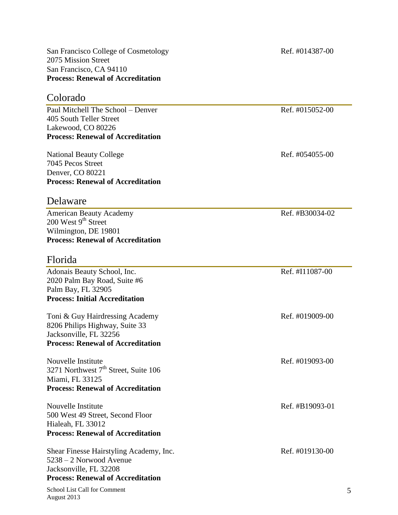2075 Mission Street San Francisco, CA 94110 **Process: Renewal of Accreditation** Colorado Paul Mitchell The School – Denver Ref. #015052-00 405 South Teller Street Lakewood, CO 80226 **Process: Renewal of Accreditation** National Beauty College Ref. #054055-00

7045 Pecos Street Denver, CO 80221 **Process: Renewal of Accreditation**

### Delaware

American Beauty Academy **Ref.** #B30034-02  $200$  West  $9<sup>th</sup>$  Street Wilmington, DE 19801 **Process: Renewal of Accreditation**

#### Florida

Adonais Beauty School, Inc. Ref. #I11087-00 2020 Palm Bay Road, Suite #6 Palm Bay, FL 32905 **Process: Initial Accreditation** Toni & Guy Hairdressing Academy Ref. #019009-00 8206 Philips Highway, Suite 33 Jacksonville, FL 32256 **Process: Renewal of Accreditation** Nouvelle Institute Ref. #019093-00 3271 Northwest  $7<sup>th</sup>$  Street, Suite 106 Miami, FL 33125 **Process: Renewal of Accreditation** Nouvelle Institute Ref. #B19093-01 500 West 49 Street, Second Floor Hialeah, FL 33012 **Process: Renewal of Accreditation** Shear Finesse Hairstyling Academy, Inc. Ref. #019130-00 5238 – 2 Norwood Avenue Jacksonville, FL 32208 **Process: Renewal of Accreditation**

School List Call for Comment August 2013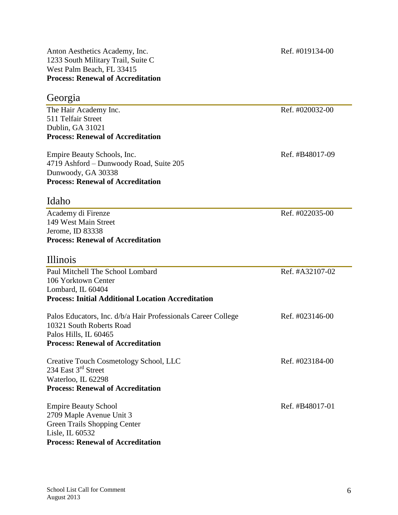Anton Aesthetics Academy, Inc. Ref. #019134-00 1233 South Military Trail, Suite C West Palm Beach, FL 33415 **Process: Renewal of Accreditation**

#### Georgia

The Hair Academy Inc. Ref. #020032-00 511 Telfair Street Dublin, GA 31021 **Process: Renewal of Accreditation**

Empire Beauty Schools, Inc. Ref. #B48017-09 4719 Ashford – Dunwoody Road, Suite 205 Dunwoody, GA 30338 **Process: Renewal of Accreditation**

### Idaho

Academy di Firenze Ref. #022035-00 149 West Main Street Jerome, ID 83338 **Process: Renewal of Accreditation**

### Illinois

| Paul Mitchell The School Lombard                              | Ref. #A32107-02 |
|---------------------------------------------------------------|-----------------|
| 106 Yorktown Center                                           |                 |
| Lombard, IL 60404                                             |                 |
| <b>Process: Initial Additional Location Accreditation</b>     |                 |
| Palos Educators, Inc. d/b/a Hair Professionals Career College | Ref. #023146-00 |
| 10321 South Roberts Road                                      |                 |
| Palos Hills, IL 60465                                         |                 |
| <b>Process: Renewal of Accreditation</b>                      |                 |
| Creative Touch Cosmetology School, LLC                        | Ref. #023184-00 |
| 234 East $3^{rd}$ Street                                      |                 |
| Waterloo, IL 62298                                            |                 |
| <b>Process: Renewal of Accreditation</b>                      |                 |
| <b>Empire Beauty School</b>                                   | Ref. #B48017-01 |
| 2709 Maple Avenue Unit 3                                      |                 |
| Green Trails Shopping Center                                  |                 |
| Lisle, IL 60532                                               |                 |
| <b>Process: Renewal of Accreditation</b>                      |                 |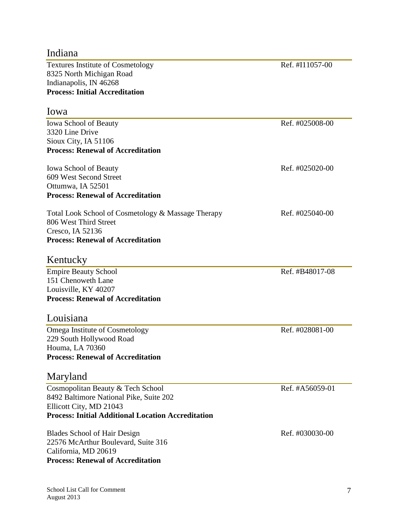| Indiana                                                   |                 |
|-----------------------------------------------------------|-----------------|
| <b>Textures Institute of Cosmetology</b>                  | Ref. #I11057-00 |
| 8325 North Michigan Road                                  |                 |
| Indianapolis, IN 46268                                    |                 |
| <b>Process: Initial Accreditation</b>                     |                 |
| Iowa                                                      |                 |
| <b>Iowa School of Beauty</b>                              | Ref. #025008-00 |
| 3320 Line Drive                                           |                 |
| Sioux City, IA 51106                                      |                 |
| <b>Process: Renewal of Accreditation</b>                  |                 |
| <b>Iowa School of Beauty</b>                              | Ref. #025020-00 |
| 609 West Second Street                                    |                 |
| Ottumwa, IA 52501                                         |                 |
| <b>Process: Renewal of Accreditation</b>                  |                 |
| Total Look School of Cosmetology & Massage Therapy        | Ref. #025040-00 |
| 806 West Third Street                                     |                 |
| Cresco, IA 52136                                          |                 |
| <b>Process: Renewal of Accreditation</b>                  |                 |
| Kentucky                                                  |                 |
| <b>Empire Beauty School</b>                               | Ref. #B48017-08 |
| 151 Chenoweth Lane                                        |                 |
| Louisville, KY 40207                                      |                 |
| <b>Process: Renewal of Accreditation</b>                  |                 |
| Louisiana                                                 |                 |
| Omega Institute of Cosmetology                            | Ref. #028081-00 |
| 229 South Hollywood Road                                  |                 |
| Houma, LA 70360                                           |                 |
| <b>Process: Renewal of Accreditation</b>                  |                 |
| Maryland                                                  |                 |
| Cosmopolitan Beauty & Tech School                         | Ref. #A56059-01 |
| 8492 Baltimore National Pike, Suite 202                   |                 |
| Ellicott City, MD 21043                                   |                 |
| <b>Process: Initial Additional Location Accreditation</b> |                 |
| <b>Blades School of Hair Design</b>                       | Ref. #030030-00 |
| 22576 McArthur Boulevard, Suite 316                       |                 |
| California, MD 20619                                      |                 |
| <b>Process: Renewal of Accreditation</b>                  |                 |
|                                                           |                 |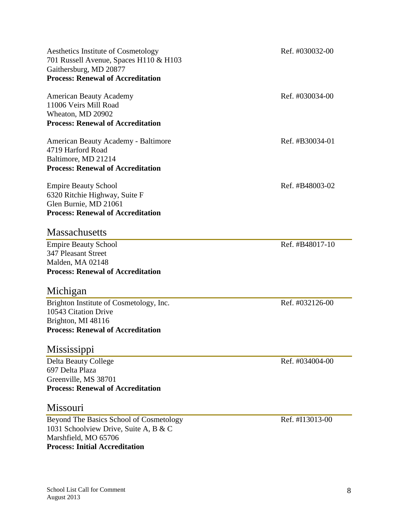| Aesthetics Institute of Cosmetology<br>701 Russell Avenue, Spaces H110 & H103 | Ref. #030032-00 |
|-------------------------------------------------------------------------------|-----------------|
| Gaithersburg, MD 20877                                                        |                 |
| <b>Process: Renewal of Accreditation</b>                                      |                 |
| <b>American Beauty Academy</b>                                                | Ref. #030034-00 |
| 11006 Veirs Mill Road                                                         |                 |
| Wheaton, MD 20902                                                             |                 |
| <b>Process: Renewal of Accreditation</b>                                      |                 |
| American Beauty Academy - Baltimore                                           | Ref. #B30034-01 |
| 4719 Harford Road                                                             |                 |
| Baltimore, MD 21214                                                           |                 |
| <b>Process: Renewal of Accreditation</b>                                      |                 |
| <b>Empire Beauty School</b>                                                   | Ref. #B48003-02 |
| 6320 Ritchie Highway, Suite F                                                 |                 |
| Glen Burnie, MD 21061                                                         |                 |
| <b>Process: Renewal of Accreditation</b>                                      |                 |
| <b>Massachusetts</b>                                                          |                 |
| <b>Empire Beauty School</b>                                                   | Ref. #B48017-10 |
| <b>347 Pleasant Street</b>                                                    |                 |
| Malden, MA 02148                                                              |                 |
| <b>Process: Renewal of Accreditation</b>                                      |                 |
| Michigan                                                                      |                 |
| Brighton Institute of Cosmetology, Inc.                                       | Ref. #032126-00 |
| 10543 Citation Drive                                                          |                 |
| Brighton, MI 48116                                                            |                 |
| <b>Process: Renewal of Accreditation</b>                                      |                 |
| Mississippi                                                                   |                 |
| <b>Delta Beauty College</b>                                                   | Ref. #034004-00 |
| 697 Delta Plaza                                                               |                 |
| Greenville, MS 38701                                                          |                 |
| <b>Process: Renewal of Accreditation</b>                                      |                 |
| Missouri                                                                      |                 |
| Beyond The Basics School of Cosmetology                                       | Ref. #I13013-00 |
| 1031 Schoolview Drive, Suite A, B & C                                         |                 |

Marshfield, MO 65706

**Process: Initial Accreditation**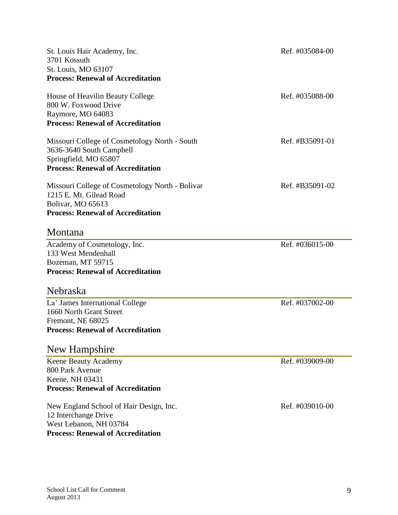| St. Louis Hair Academy, Inc.<br>3701 Kossuth<br>St. Louis, MO 63107<br><b>Process: Renewal of Accreditation</b>                                | Ref. #035084-00 |
|------------------------------------------------------------------------------------------------------------------------------------------------|-----------------|
| House of Heavilin Beauty College<br>800 W. Foxwood Drive<br>Raymore, MO 64083<br><b>Process: Renewal of Accreditation</b>                      | Ref. #035088-00 |
| Missouri College of Cosmetology North - South<br>3636-3640 South Campbell<br>Springfield, MO 65807<br><b>Process: Renewal of Accreditation</b> | Ref. #B35091-01 |
| Missouri College of Cosmetology North - Bolivar<br>1215 E. Mt. Gilead Road<br>Bolivar, MO 65613<br><b>Process: Renewal of Accreditation</b>    | Ref. #B35091-02 |
| Montana                                                                                                                                        |                 |
| Academy of Cosmetology, Inc.<br>133 West Mendenhall<br>Bozeman, MT 59715<br><b>Process: Renewal of Accreditation</b>                           | Ref. #036015-00 |
| Nebraska                                                                                                                                       |                 |
| La' James International College<br>1660 North Grant Street<br>Fremont, NE 68025<br><b>Process: Renewal of Accreditation</b>                    | Ref. #037002-00 |
| New Hampshire                                                                                                                                  |                 |
| Keene Beauty Academy<br>800 Park Avenue<br>Keene, NH 03431<br><b>Process: Renewal of Accreditation</b>                                         | Ref. #039009-00 |
| New England School of Hair Design, Inc.<br>12 Interchange Drive<br>West Lebanon, NH 03784<br><b>Process: Renewal of Accreditation</b>          | Ref. #039010-00 |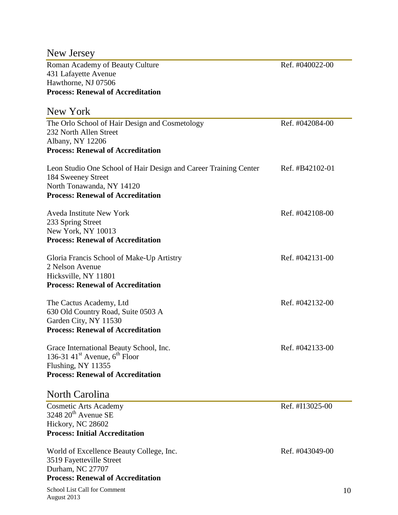# New Jersey

Roman Academy of Beauty Culture Ref. #040022-00 431 Lafayette Avenue Hawthorne, NJ 07506 **Process: Renewal of Accreditation**

| New York                                                                                                                                                        |                 |
|-----------------------------------------------------------------------------------------------------------------------------------------------------------------|-----------------|
| The Orlo School of Hair Design and Cosmetology<br>232 North Allen Street<br>Albany, NY 12206<br><b>Process: Renewal of Accreditation</b>                        | Ref. #042084-00 |
| Leon Studio One School of Hair Design and Career Training Center<br>184 Sweeney Street<br>North Tonawanda, NY 14120<br><b>Process: Renewal of Accreditation</b> | Ref. #B42102-01 |
| <b>Aveda Institute New York</b><br>233 Spring Street<br>New York, NY 10013<br><b>Process: Renewal of Accreditation</b>                                          | Ref. #042108-00 |
| Gloria Francis School of Make-Up Artistry<br>2 Nelson Avenue<br>Hicksville, NY 11801<br><b>Process: Renewal of Accreditation</b>                                | Ref. #042131-00 |
| The Cactus Academy, Ltd<br>630 Old Country Road, Suite 0503 A<br>Garden City, NY 11530<br><b>Process: Renewal of Accreditation</b>                              | Ref. #042132-00 |
| Grace International Beauty School, Inc.<br>136-31 41 <sup>st</sup> Avenue, $6^{th}$ Floor<br>Flushing, NY 11355<br><b>Process: Renewal of Accreditation</b>     | Ref. #042133-00 |
| North Carolina                                                                                                                                                  |                 |
| <b>Cosmetic Arts Academy</b><br>$3248~20^{\text{th}}$ Avenue SE<br>Hickory, NC 28602<br><b>Process: Initial Accreditation</b>                                   | Ref. #I13025-00 |
| World of Excellence Beauty College, Inc.<br>3519 Fayetteville Street<br>Durham, NC 27707                                                                        | Ref. #043049-00 |

**Process: Renewal of Accreditation**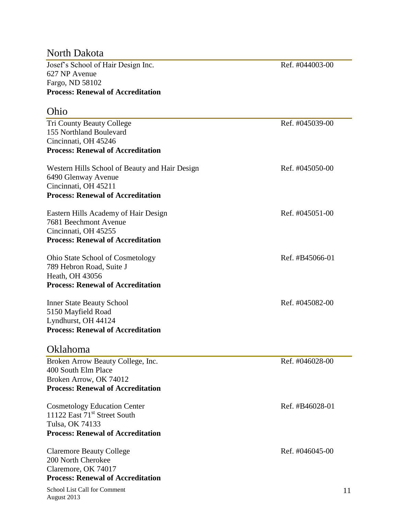## North Dakota

Josef's School of Hair Design Inc. Ref. #044003-00 627 NP Avenue Fargo, ND 58102 **Process: Renewal of Accreditation**

### Ohio

| <b>UIIIU</b>                                   |                 |
|------------------------------------------------|-----------------|
| <b>Tri County Beauty College</b>               | Ref. #045039-00 |
| 155 Northland Boulevard                        |                 |
| Cincinnati, OH 45246                           |                 |
| <b>Process: Renewal of Accreditation</b>       |                 |
| Western Hills School of Beauty and Hair Design | Ref. #045050-00 |
| 6490 Glenway Avenue                            |                 |
| Cincinnati, OH 45211                           |                 |
| <b>Process: Renewal of Accreditation</b>       |                 |
| Eastern Hills Academy of Hair Design           | Ref. #045051-00 |
| 7681 Beechmont Avenue                          |                 |
| Cincinnati, OH 45255                           |                 |
| <b>Process: Renewal of Accreditation</b>       |                 |
| <b>Ohio State School of Cosmetology</b>        | Ref. #B45066-01 |
| 789 Hebron Road, Suite J                       |                 |
| Heath, OH 43056                                |                 |
| <b>Process: Renewal of Accreditation</b>       |                 |
|                                                |                 |
| <b>Inner State Beauty School</b>               | Ref. #045082-00 |
| 5150 Mayfield Road                             |                 |
| Lyndhurst, OH 44124                            |                 |
| <b>Process: Renewal of Accreditation</b>       |                 |
| Oklahoma                                       |                 |
| Broken Arrow Beauty College, Inc.              | Ref. #046028-00 |
| 400 South Elm Place                            |                 |
| Broken Arrow, OK 74012                         |                 |
| <b>Process: Renewal of Accreditation</b>       |                 |
| <b>Cosmetology Education Center</b>            | Ref. #B46028-01 |
| 11122 East 71 <sup>st</sup> Street South       |                 |
| Tulsa, OK 74133                                |                 |
| <b>Process: Renewal of Accreditation</b>       |                 |
| <b>Claremore Beauty College</b>                | Ref. #046045-00 |
| 200 North Cherokee                             |                 |
| Claremore, OK 74017                            |                 |
| <b>Process: Renewal of Accreditation</b>       |                 |

School List Call for Comment August 2013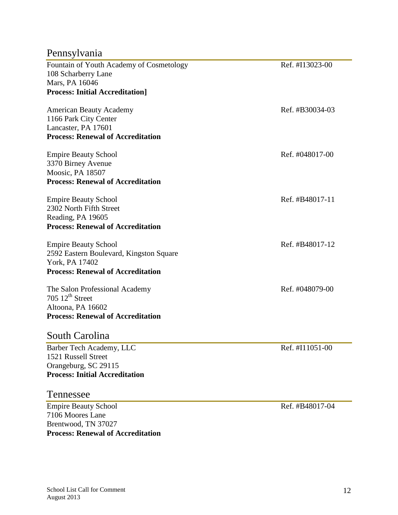# Pennsylvania

| Fountain of Youth Academy of Cosmetology | Ref. #I13023-00 |
|------------------------------------------|-----------------|
| 108 Scharberry Lane                      |                 |
| Mars, PA 16046                           |                 |
| <b>Process: Initial Accreditation]</b>   |                 |
| <b>American Beauty Academy</b>           | Ref. #B30034-03 |
| 1166 Park City Center                    |                 |
| Lancaster, PA 17601                      |                 |
| <b>Process: Renewal of Accreditation</b> |                 |
| <b>Empire Beauty School</b>              | Ref. #048017-00 |
| 3370 Birney Avenue                       |                 |
| Moosic, PA 18507                         |                 |
| <b>Process: Renewal of Accreditation</b> |                 |
| <b>Empire Beauty School</b>              | Ref. #B48017-11 |
| 2302 North Fifth Street                  |                 |
| Reading, PA 19605                        |                 |
| <b>Process: Renewal of Accreditation</b> |                 |
| <b>Empire Beauty School</b>              | Ref. #B48017-12 |
| 2592 Eastern Boulevard, Kingston Square  |                 |
| York, PA 17402                           |                 |
| <b>Process: Renewal of Accreditation</b> |                 |
| The Salon Professional Academy           | Ref. #048079-00 |
| 705 $12th$ Street                        |                 |
| Altoona, PA 16602                        |                 |
| <b>Process: Renewal of Accreditation</b> |                 |
| South Carolina                           |                 |
| Barber Tech Academy, LLC                 | Ref. #I11051-00 |
| 1521 Russell Street                      |                 |
| Orangeburg, SC 29115                     |                 |

Tennessee

Empire Beauty School Ref. #B48017-04 7106 Moores Lane Brentwood, TN 37027 **Process: Renewal of Accreditation**

**Process: Initial Accreditation**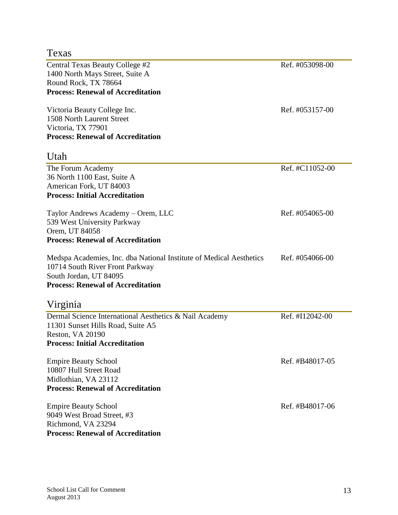### Texas

Central Texas Beauty College #2 Ref. #053098-00 1400 North Mays Street, Suite A Round Rock, TX 78664 **Process: Renewal of Accreditation**

Victoria Beauty College Inc. Ref. #053157-00 1508 North Laurent Street Victoria, TX 77901 **Process: Renewal of Accreditation**

#### Utah

| The Forum Academy                                                   | Ref. #C11052-00 |
|---------------------------------------------------------------------|-----------------|
| 36 North 1100 East, Suite A                                         |                 |
| American Fork, UT 84003                                             |                 |
| <b>Process: Initial Accreditation</b>                               |                 |
| Taylor Andrews Academy – Orem, LLC                                  | Ref. #054065-00 |
| 539 West University Parkway                                         |                 |
| Orem, UT 84058                                                      |                 |
| <b>Process: Renewal of Accreditation</b>                            |                 |
| Medspa Academies, Inc. dba National Institute of Medical Aesthetics | Ref. #054066-00 |
| 10714 South River Front Parkway                                     |                 |
| South Jordan, UT 84095                                              |                 |
| <b>Process: Renewal of Accreditation</b>                            |                 |
| Virginia                                                            |                 |
| Dermal Science International Aesthetics & Nail Academy              | Ref. #I12042-00 |
| 11301 Sunset Hills Road, Suite A5                                   |                 |
|                                                                     |                 |

Reston, VA 20190 **Process: Initial Accreditation**

Empire Beauty School Ref. #B48017-05 10807 Hull Street Road Midlothian, VA 23112 **Process: Renewal of Accreditation**

Empire Beauty School Ref. #B48017-06 9049 West Broad Street, #3 Richmond, VA 23294 **Process: Renewal of Accreditation**